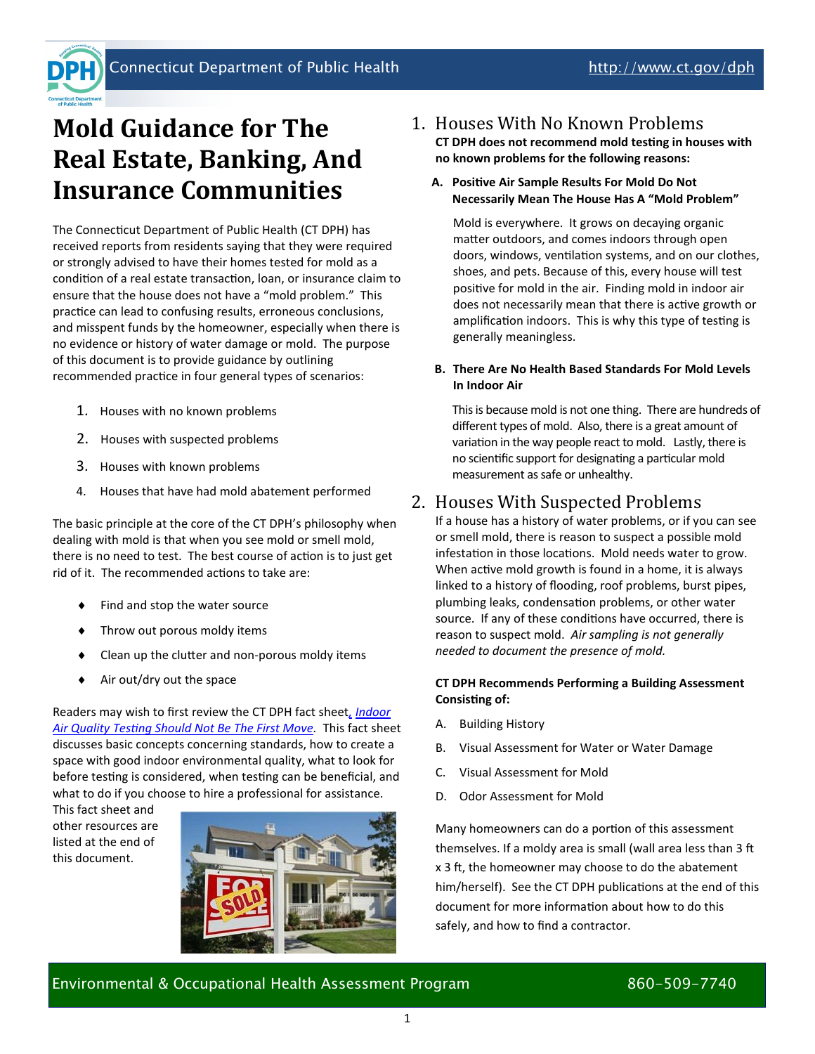

# **Mold Guidance for The Real Estate, Banking, And Insurance Communities**

The Connecticut Department of Public Health (CT DPH) has received reports from residents saying that they were required or strongly advised to have their homes tested for mold as a condition of a real estate transaction, loan, or insurance claim to ensure that the house does not have a "mold problem." This practice can lead to confusing results, erroneous conclusions, and misspent funds by the homeowner, especially when there is no evidence or history of water damage or mold. The purpose of this document is to provide guidance by outlining recommended practice in four general types of scenarios:

- 1. Houses with no known problems
- 2. Houses with suspected problems
- 3. Houses with known problems
- 4. Houses that have had mold abatement performed

The basic principle at the core of the CT DPH's philosophy when dealing with mold is that when you see mold or smell mold, there is no need to test. The best course of action is to just get rid of it. The recommended actions to take are:

- $\bullet$  Find and stop the water source
- $\bullet$  Throw out porous moldy items
- ◆ Clean up the clutter and non-porous moldy items
- ◆ Air out/dry out the space

Readers may wish to first review the CT DPH fact sheet*[,](http://www.ct.gov/dph/lib/dph/environmental_health/eoha/pdf/ieq_testing_should_not_be_the_first_move_6-10.pdf) [Indoor](http://www.ct.gov/dph/lib/dph/environmental_health/eoha/pdf/ieq_testing_should_not_be_the_first_move_6-10.pdf)  [Air Quality Testing Should Not Be The First Move.](http://www.ct.gov/dph/lib/dph/environmental_health/eoha/pdf/ieq_testing_should_not_be_the_first_move_6-10.pdf)* This fact sheet discusses basic concepts concerning standards, how to create a space with good indoor environmental quality, what to look for before testing is considered, when testing can be beneficial, and what to do if you choose to hire a professional for assistance.

This fact sheet and other resources are listed at the end of this document.



- 1. Houses With No Known Problems **CT DPH does not recommend mold testing in houses with no known problems for the following reasons:**
	- **A. Positive Air Sample Results For Mold Do Not Necessarily Mean The House Has A "Mold Problem"**

Mold is everywhere. It grows on decaying organic matter outdoors, and comes indoors through open doors, windows, ventilation systems, and on our clothes, shoes, and pets. Because of this, every house will test positive for mold in the air. Finding mold in indoor air does not necessarily mean that there is active growth or amplification indoors. This is why this type of testing is generally meaningless.

#### **B. There Are No Health Based Standards For Mold Levels In Indoor Air**

This is because mold is not one thing. There are hundreds of different types of mold. Also, there is a great amount of variation in the way people react to mold. Lastly, there is no scientific support for designating a particular mold measurement as safe or unhealthy.

## 2. Houses With Suspected Problems

If a house has a history of water problems, or if you can see or smell mold, there is reason to suspect a possible mold infestation in those locations. Mold needs water to grow. When active mold growth is found in a home, it is always linked to a history of flooding, roof problems, burst pipes, plumbing leaks, condensation problems, or other water source. If any of these conditions have occurred, there is reason to suspect mold. *Air sampling is not generally needed to document the presence of mold.*

#### **CT DPH Recommends Performing a Building Assessment Consisting of:**

- A. Building History
- B. Visual Assessment for Water or Water Damage
- C. Visual Assessment for Mold
- D. Odor Assessment for Mold

Many homeowners can do a portion of this assessment themselves. If a moldy area is small (wall area less than 3 ft x 3 ft, the homeowner may choose to do the abatement him/herself). See the CT DPH publications at the end of this document for more information about how to do this safely, and how to find a contractor.

## Environmental & Occupational Health Assessment Program **860-509-7740**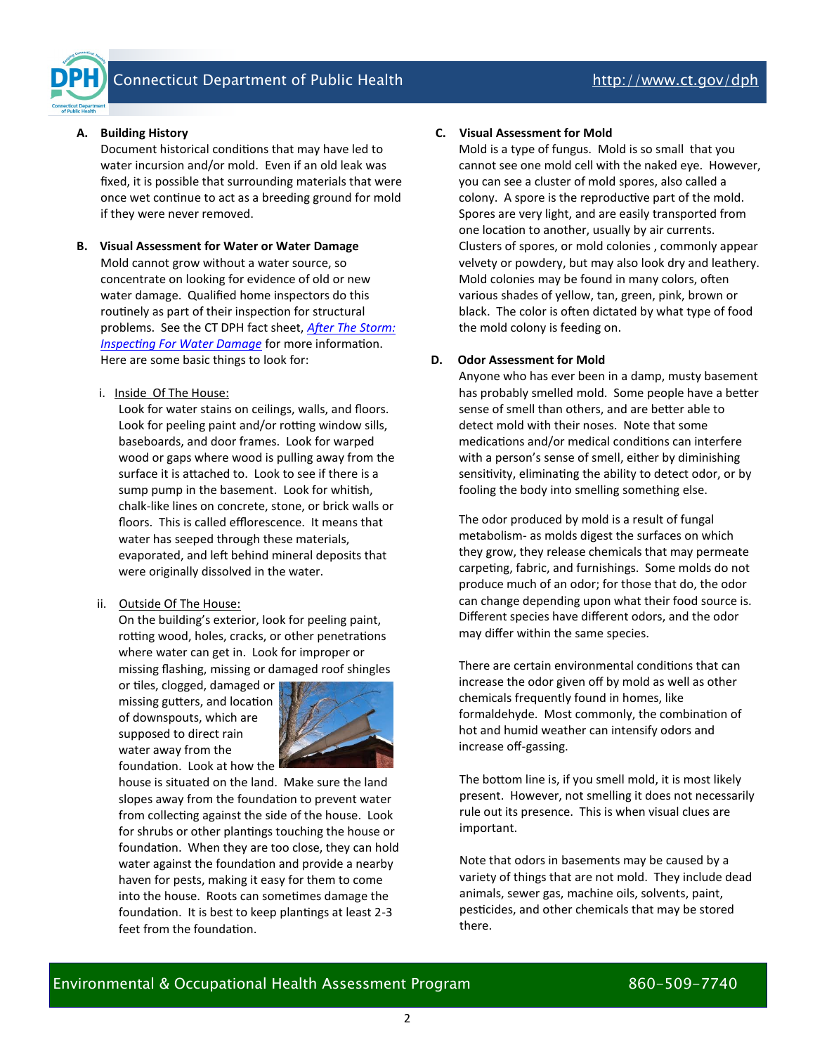

Document historical conditions that may have led to water incursion and/or mold. Even if an old leak was fixed, it is possible that surrounding materials that were once wet continue to act as a breeding ground for mold if they were never removed.

### **B. Visual Assessment for Water or Water Damage** Mold cannot grow without a water source, so concentrate on looking for evidence of old or new water damage. Qualified home inspectors do this routinely as part of their inspection for structural problems. See the CT DPH fact sheet, *[After The Storm:](http://www.ct.gov/dph/lib/dph/environmental_health/eoha/pdf/ct_moisture_inspection_fs.pdf)  [Inspecting For Water Damage](http://www.ct.gov/dph/lib/dph/environmental_health/eoha/pdf/ct_moisture_inspection_fs.pdf)* for more information. Here are some basic things to look for:

#### i. Inside Of The House:

Look for water stains on ceilings, walls, and floors. Look for peeling paint and/or rotting window sills, baseboards, and door frames. Look for warped wood or gaps where wood is pulling away from the surface it is attached to. Look to see if there is a sump pump in the basement. Look for whitish, chalk-like lines on concrete, stone, or brick walls or floors. This is called efflorescence. It means that water has seeped through these materials, evaporated, and left behind mineral deposits that were originally dissolved in the water.

#### ii. Outside Of The House:

On the building's exterior, look for peeling paint, rotting wood, holes, cracks, or other penetrations where water can get in. Look for improper or missing flashing, missing or damaged roof shingles

or tiles, clogged, damaged or missing gutters, and location of downspouts, which are supposed to direct rain water away from the foundation. Look at how the



house is situated on the land. Make sure the land slopes away from the foundation to prevent water from collecting against the side of the house. Look for shrubs or other plantings touching the house or foundation. When they are too close, they can hold water against the foundation and provide a nearby haven for pests, making it easy for them to come into the house. Roots can sometimes damage the foundation. It is best to keep plantings at least 2-3 feet from the foundation.

#### **C. Visual Assessment for Mold**

Mold is a type of fungus. Mold is so small that you cannot see one mold cell with the naked eye. However, you can see a cluster of mold spores, also called a colony. A spore is the reproductive part of the mold. Spores are very light, and are easily transported from one location to another, usually by air currents. Clusters of spores, or mold colonies , commonly appear velvety or powdery, but may also look dry and leathery. Mold colonies may be found in many colors, often various shades of yellow, tan, green, pink, brown or black. The color is often dictated by what type of food the mold colony is feeding on.

#### **D. Odor Assessment for Mold**

Anyone who has ever been in a damp, musty basement has probably smelled mold. Some people have a better sense of smell than others, and are better able to detect mold with their noses. Note that some medications and/or medical conditions can interfere with a person's sense of smell, either by diminishing sensitivity, eliminating the ability to detect odor, or by fooling the body into smelling something else.

The odor produced by mold is a result of fungal metabolism- as molds digest the surfaces on which they grow, they release chemicals that may permeate carpeting, fabric, and furnishings. Some molds do not produce much of an odor; for those that do, the odor can change depending upon what their food source is. Different species have different odors, and the odor may differ within the same species.

There are certain environmental conditions that can increase the odor given off by mold as well as other chemicals frequently found in homes, like formaldehyde. Most commonly, the combination of hot and humid weather can intensify odors and increase off-gassing.

The bottom line is, if you smell mold, it is most likely present. However, not smelling it does not necessarily rule out its presence. This is when visual clues are important.

Note that odors in basements may be caused by a variety of things that are not mold. They include dead animals, sewer gas, machine oils, solvents, paint, pesticides, and other chemicals that may be stored there.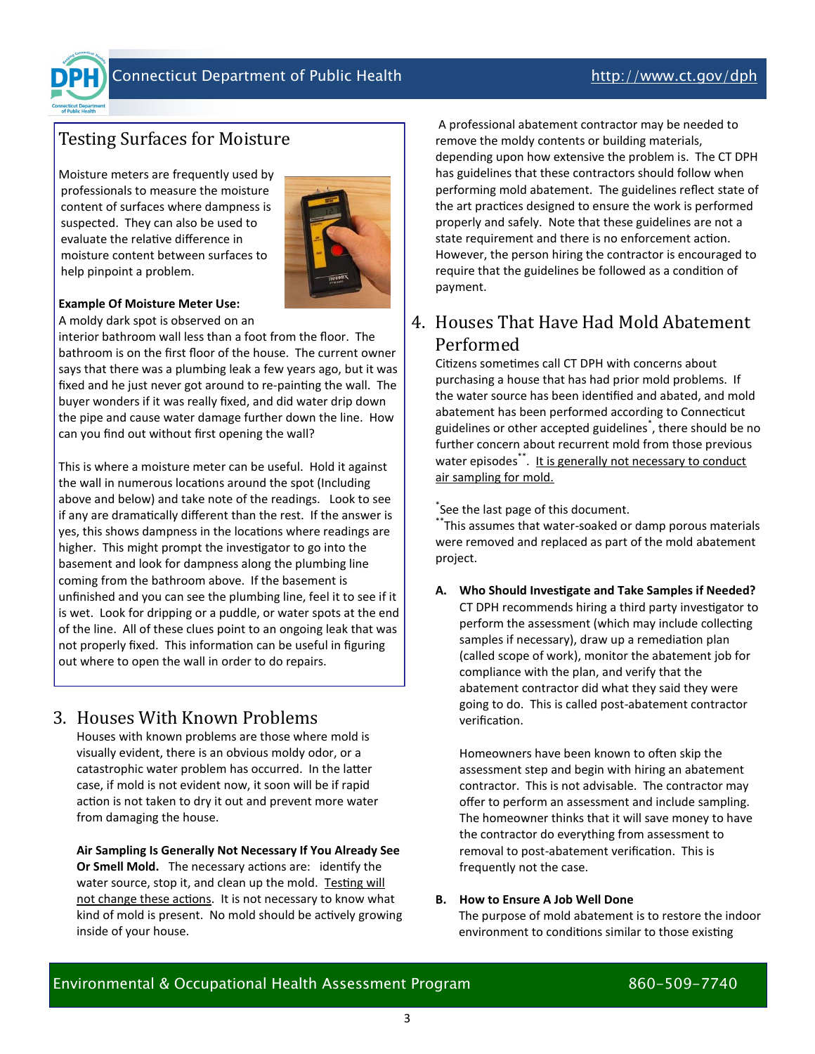

## Testing Surfaces for Moisture

Moisture meters are frequently used by professionals to measure the moisture content of surfaces where dampness is suspected. They can also be used to evaluate the relative difference in moisture content between surfaces to help pinpoint a problem.



#### **Example Of Moisture Meter Use:**

A moldy dark spot is observed on an

interior bathroom wall less than a foot from the floor. The bathroom is on the first floor of the house. The current owner says that there was a plumbing leak a few years ago, but it was fixed and he just never got around to re-painting the wall. The buyer wonders if it was really fixed, and did water drip down the pipe and cause water damage further down the line. How can you find out without first opening the wall?

This is where a moisture meter can be useful. Hold it against the wall in numerous locations around the spot (Including above and below) and take note of the readings. Look to see if any are dramatically different than the rest. If the answer is yes, this shows dampness in the locations where readings are higher. This might prompt the investigator to go into the basement and look for dampness along the plumbing line coming from the bathroom above. If the basement is unfinished and you can see the plumbing line, feel it to see if it is wet. Look for dripping or a puddle, or water spots at the end of the line. All of these clues point to an ongoing leak that was not properly fixed. This information can be useful in figuring out where to open the wall in order to do repairs.

## 3. Houses With Known Problems

Houses with known problems are those where mold is visually evident, there is an obvious moldy odor, or a catastrophic water problem has occurred. In the latter case, if mold is not evident now, it soon will be if rapid action is not taken to dry it out and prevent more water from damaging the house.

**Air Sampling Is Generally Not Necessary If You Already See Or Smell Mold.** The necessary actions are: identify the water source, stop it, and clean up the mold.Testing will not change these actions. It is not necessary to know what kind of mold is present. No mold should be actively growing inside of your house.

A professional abatement contractor may be needed to remove the moldy contents or building materials, depending upon how extensive the problem is. The CT DPH has guidelines that these contractors should follow when performing mold abatement. The guidelines reflect state of the art practices designed to ensure the work is performed properly and safely. Note that these guidelines are not a state requirement and there is no enforcement action. However, the person hiring the contractor is encouraged to require that the guidelines be followed as a condition of payment.

## 4. Houses That Have Had Mold Abatement Performed

Citizens sometimes call CT DPH with concerns about purchasing a house that has had prior mold problems. If the water source has been identified and abated, and mold abatement has been performed according to Connecticut guidelines or other accepted guidelines\* , there should be no further concern about recurrent mold from those previous water episodes\*\*. It is generally not necessary to conduct air sampling for mold.

\* See the last page of this document.

\*\*This assumes that water-soaked or damp porous materials were removed and replaced as part of the mold abatement project.

**A. Who Should Investigate and Take Samples if Needed?** CT DPH recommends hiring a third party investigator to perform the assessment (which may include collecting samples if necessary), draw up a remediation plan (called scope of work), monitor the abatement job for compliance with the plan, and verify that the abatement contractor did what they said they were going to do. This is called post-abatement contractor verification.

Homeowners have been known to often skip the assessment step and begin with hiring an abatement contractor. This is not advisable. The contractor may offer to perform an assessment and include sampling. The homeowner thinks that it will save money to have the contractor do everything from assessment to removal to post-abatement verification. This is frequently not the case.

#### **B. How to Ensure A Job Well Done**

The purpose of mold abatement is to restore the indoor environment to conditions similar to those existing

## Environmental & Occupational Health Assessment Program entitled and the S60-509-7740